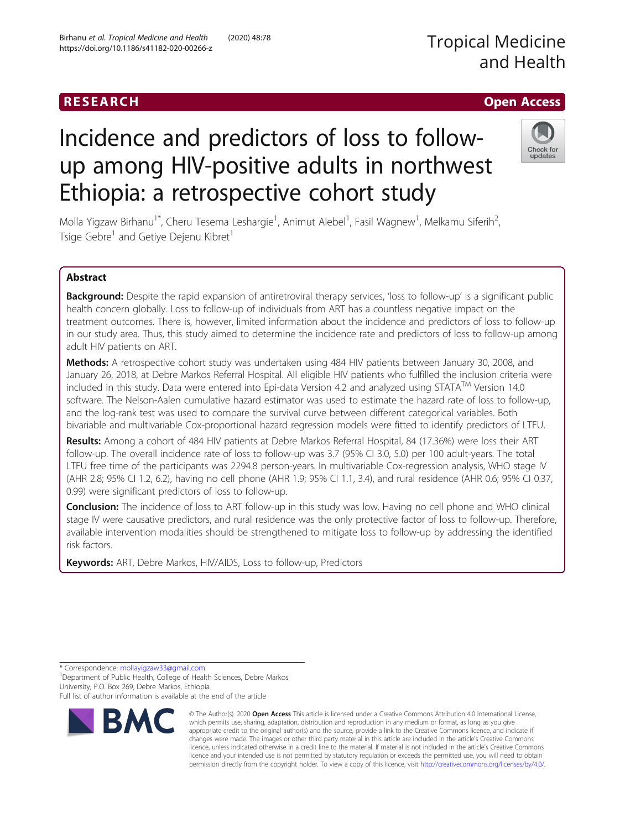# RESEARCH **RESEARCH CHOOSE ACCESS**

# Incidence and predictors of loss to followup among HIV-positive adults in northwest Ethiopia: a retrospective cohort study

Molla Yigzaw Birhanu<sup>1\*</sup>, Cheru Tesema Leshargie<sup>1</sup>, Animut Alebel<sup>1</sup>, Fasil Wagnew<sup>1</sup>, Melkamu Siferih<sup>2</sup> , Tsige Gebre<sup>1</sup> and Getiye Dejenu Kibret<sup>1</sup>

# Abstract

Background: Despite the rapid expansion of antiretroviral therapy services, 'loss to follow-up' is a significant public health concern globally. Loss to follow-up of individuals from ART has a countless negative impact on the treatment outcomes. There is, however, limited information about the incidence and predictors of loss to follow-up in our study area. Thus, this study aimed to determine the incidence rate and predictors of loss to follow-up among adult HIV patients on ART.

Methods: A retrospective cohort study was undertaken using 484 HIV patients between January 30, 2008, and January 26, 2018, at Debre Markos Referral Hospital. All eligible HIV patients who fulfilled the inclusion criteria were included in this study. Data were entered into Epi-data Version 4.2 and analyzed using STATA<sup>TM</sup> Version 14.0 software. The Nelson-Aalen cumulative hazard estimator was used to estimate the hazard rate of loss to follow-up, and the log-rank test was used to compare the survival curve between different categorical variables. Both bivariable and multivariable Cox-proportional hazard regression models were fitted to identify predictors of LTFU.

Results: Among a cohort of 484 HIV patients at Debre Markos Referral Hospital, 84 (17.36%) were loss their ART follow-up. The overall incidence rate of loss to follow-up was 3.7 (95% CI 3.0, 5.0) per 100 adult-years. The total LTFU free time of the participants was 2294.8 person-years. In multivariable Cox-regression analysis, WHO stage IV (AHR 2.8; 95% CI 1.2, 6.2), having no cell phone (AHR 1.9; 95% CI 1.1, 3.4), and rural residence (AHR 0.6; 95% CI 0.37, 0.99) were significant predictors of loss to follow-up.

**Conclusion:** The incidence of loss to ART follow-up in this study was low. Having no cell phone and WHO clinical stage IV were causative predictors, and rural residence was the only protective factor of loss to follow-up. Therefore, available intervention modalities should be strengthened to mitigate loss to follow-up by addressing the identified risk factors.

Keywords: ART, Debre Markos, HIV/AIDS, Loss to follow-up, Predictors

\* Correspondence: [mollayigzaw33@gmail.com](mailto:mollayigzaw33@gmail.com) <sup>1</sup>

<sup>1</sup> Department of Public Health, College of Health Sciences, Debre Markos University, P.O. Box 269, Debre Markos, Ethiopia

Full list of author information is available at the end of the article

© The Author(s). 2020 Open Access This article is licensed under a Creative Commons Attribution 4.0 International License, which permits use, sharing, adaptation, distribution and reproduction in any medium or format, as long as you give appropriate credit to the original author(s) and the source, provide a link to the Creative Commons licence, and indicate if changes were made. The images or other third party material in this article are included in the article's Creative Commons licence, unless indicated otherwise in a credit line to the material. If material is not included in the article's Creative Commons licence and your intended use is not permitted by statutory regulation or exceeds the permitted use, you will need to obtain permission directly from the copyright holder. To view a copy of this licence, visit [http://creativecommons.org/licenses/by/4.0/.](http://creativecommons.org/licenses/by/4.0/)

Birhanu et al. Tropical Medicine and Health (2020) 48:78 https://doi.org/10.1186/s41182-020-00266-z



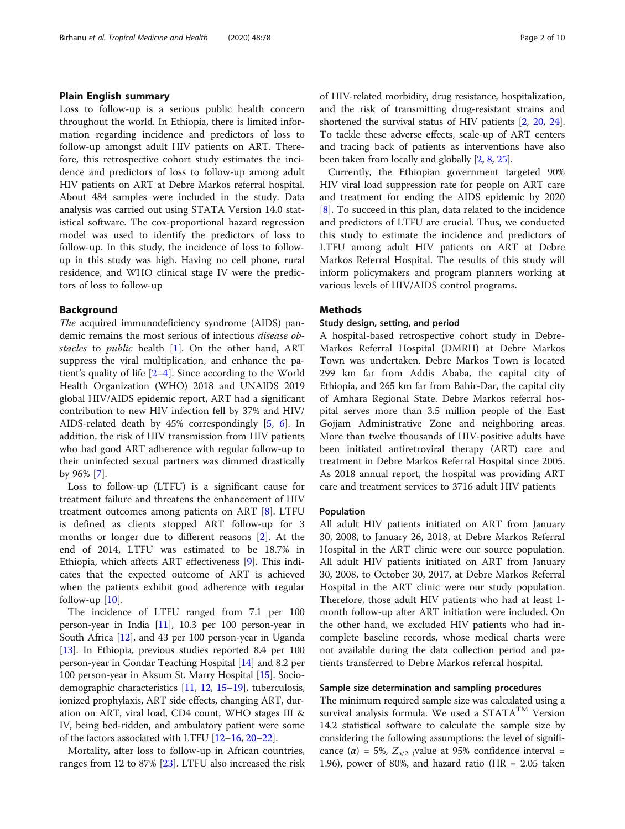# Plain English summary

Loss to follow-up is a serious public health concern throughout the world. In Ethiopia, there is limited information regarding incidence and predictors of loss to follow-up amongst adult HIV patients on ART. Therefore, this retrospective cohort study estimates the incidence and predictors of loss to follow-up among adult HIV patients on ART at Debre Markos referral hospital. About 484 samples were included in the study. Data analysis was carried out using STATA Version 14.0 statistical software. The cox-proportional hazard regression model was used to identify the predictors of loss to follow-up. In this study, the incidence of loss to followup in this study was high. Having no cell phone, rural residence, and WHO clinical stage IV were the predictors of loss to follow-up

# Background

The acquired immunodeficiency syndrome (AIDS) pandemic remains the most serious of infectious disease obstacles to *public* health  $[1]$ . On the other hand, ART suppress the viral multiplication, and enhance the patient's quality of life [[2](#page-8-0)–[4](#page-8-0)]. Since according to the World Health Organization (WHO) 2018 and UNAIDS 2019 global HIV/AIDS epidemic report, ART had a significant contribution to new HIV infection fell by 37% and HIV/ AIDS-related death by 45% correspondingly [\[5](#page-8-0), [6](#page-8-0)]. In addition, the risk of HIV transmission from HIV patients who had good ART adherence with regular follow-up to their uninfected sexual partners was dimmed drastically by 96% [[7\]](#page-8-0).

Loss to follow-up (LTFU) is a significant cause for treatment failure and threatens the enhancement of HIV treatment outcomes among patients on ART [\[8](#page-8-0)]. LTFU is defined as clients stopped ART follow-up for 3 months or longer due to different reasons [[2\]](#page-8-0). At the end of 2014, LTFU was estimated to be 18.7% in Ethiopia, which affects ART effectiveness [\[9](#page-8-0)]. This indicates that the expected outcome of ART is achieved when the patients exhibit good adherence with regular follow-up [[10\]](#page-8-0).

The incidence of LTFU ranged from 7.1 per 100 person-year in India [[11](#page-8-0)], 10.3 per 100 person-year in South Africa [\[12\]](#page-8-0), and 43 per 100 person-year in Uganda [[13](#page-8-0)]. In Ethiopia, previous studies reported 8.4 per 100 person-year in Gondar Teaching Hospital [[14](#page-8-0)] and 8.2 per 100 person-year in Aksum St. Marry Hospital [\[15](#page-8-0)]. Sociodemographic characteristics [[11](#page-8-0), [12,](#page-8-0) [15](#page-8-0)–[19\]](#page-8-0), tuberculosis, ionized prophylaxis, ART side effects, changing ART, duration on ART, viral load, CD4 count, WHO stages III & IV, being bed-ridden, and ambulatory patient were some of the factors associated with LTFU [[12](#page-8-0)–[16,](#page-8-0) [20](#page-8-0)–[22\]](#page-8-0).

Mortality, after loss to follow-up in African countries, ranges from 12 to 87% [\[23\]](#page-8-0). LTFU also increased the risk of HIV-related morbidity, drug resistance, hospitalization, and the risk of transmitting drug-resistant strains and shortened the survival status of HIV patients [\[2](#page-8-0), [20,](#page-8-0) [24](#page-8-0)]. To tackle these adverse effects, scale-up of ART centers and tracing back of patients as interventions have also been taken from locally and globally [[2,](#page-8-0) [8](#page-8-0), [25](#page-8-0)].

Currently, the Ethiopian government targeted 90% HIV viral load suppression rate for people on ART care and treatment for ending the AIDS epidemic by 2020 [[8\]](#page-8-0). To succeed in this plan, data related to the incidence and predictors of LTFU are crucial. Thus, we conducted this study to estimate the incidence and predictors of LTFU among adult HIV patients on ART at Debre Markos Referral Hospital. The results of this study will inform policymakers and program planners working at various levels of HIV/AIDS control programs.

# **Methods**

# Study design, setting, and period

A hospital-based retrospective cohort study in Debre-Markos Referral Hospital (DMRH) at Debre Markos Town was undertaken. Debre Markos Town is located 299 km far from Addis Ababa, the capital city of Ethiopia, and 265 km far from Bahir-Dar, the capital city of Amhara Regional State. Debre Markos referral hospital serves more than 3.5 million people of the East Gojjam Administrative Zone and neighboring areas. More than twelve thousands of HIV-positive adults have been initiated antiretroviral therapy (ART) care and treatment in Debre Markos Referral Hospital since 2005. As 2018 annual report, the hospital was providing ART care and treatment services to 3716 adult HIV patients

#### Population

All adult HIV patients initiated on ART from January 30, 2008, to January 26, 2018, at Debre Markos Referral Hospital in the ART clinic were our source population. All adult HIV patients initiated on ART from January 30, 2008, to October 30, 2017, at Debre Markos Referral Hospital in the ART clinic were our study population. Therefore, those adult HIV patients who had at least 1 month follow-up after ART initiation were included. On the other hand, we excluded HIV patients who had incomplete baseline records, whose medical charts were not available during the data collection period and patients transferred to Debre Markos referral hospital.

# Sample size determination and sampling procedures

The minimum required sample size was calculated using a survival analysis formula. We used a  $STATA<sup>TM</sup>$  Version 14.2 statistical software to calculate the sample size by considering the following assumptions: the level of significance ( $\alpha$ ) = 5%,  $Z_{a/2}$  (value at 95% confidence interval = 1.96), power of 80%, and hazard ratio (HR  $= 2.05$  taken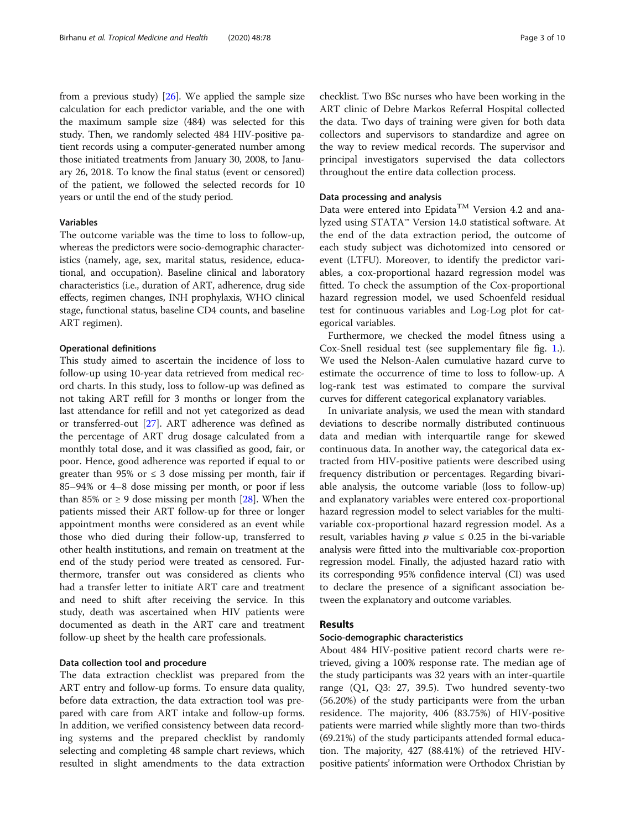from a previous study) [[26](#page-9-0)]. We applied the sample size calculation for each predictor variable, and the one with the maximum sample size (484) was selected for this study. Then, we randomly selected 484 HIV-positive patient records using a computer-generated number among those initiated treatments from January 30, 2008, to January 26, 2018. To know the final status (event or censored) of the patient, we followed the selected records for 10 years or until the end of the study period.

# Variables

The outcome variable was the time to loss to follow-up, whereas the predictors were socio-demographic characteristics (namely, age, sex, marital status, residence, educational, and occupation). Baseline clinical and laboratory characteristics (i.e., duration of ART, adherence, drug side effects, regimen changes, INH prophylaxis, WHO clinical stage, functional status, baseline CD4 counts, and baseline ART regimen).

# Operational definitions

This study aimed to ascertain the incidence of loss to follow-up using 10-year data retrieved from medical record charts. In this study, loss to follow-up was defined as not taking ART refill for 3 months or longer from the last attendance for refill and not yet categorized as dead or transferred-out [\[27](#page-9-0)]. ART adherence was defined as the percentage of ART drug dosage calculated from a monthly total dose, and it was classified as good, fair, or poor. Hence, good adherence was reported if equal to or greater than 95% or  $\leq$  3 dose missing per month, fair if 85–94% or 4–8 dose missing per month, or poor if less than 85% or  $\geq$  9 dose missing per month [\[28](#page-9-0)]. When the patients missed their ART follow-up for three or longer appointment months were considered as an event while those who died during their follow-up, transferred to other health institutions, and remain on treatment at the end of the study period were treated as censored. Furthermore, transfer out was considered as clients who had a transfer letter to initiate ART care and treatment and need to shift after receiving the service. In this study, death was ascertained when HIV patients were documented as death in the ART care and treatment follow-up sheet by the health care professionals.

# Data collection tool and procedure

The data extraction checklist was prepared from the ART entry and follow-up forms. To ensure data quality, before data extraction, the data extraction tool was prepared with care from ART intake and follow-up forms. In addition, we verified consistency between data recording systems and the prepared checklist by randomly selecting and completing 48 sample chart reviews, which resulted in slight amendments to the data extraction checklist. Two BSc nurses who have been working in the ART clinic of Debre Markos Referral Hospital collected the data. Two days of training were given for both data collectors and supervisors to standardize and agree on the way to review medical records. The supervisor and principal investigators supervised the data collectors throughout the entire data collection process.

## Data processing and analysis

Data were entered into  $Epidata<sup>TM</sup>$  Version 4.2 and analyzed using STATA™ Version 14.0 statistical software. At the end of the data extraction period, the outcome of each study subject was dichotomized into censored or event (LTFU). Moreover, to identify the predictor variables, a cox-proportional hazard regression model was fitted. To check the assumption of the Cox-proportional hazard regression model, we used Schoenfeld residual test for continuous variables and Log-Log plot for categorical variables.

Furthermore, we checked the model fitness using a Cox-Snell residual test (see supplementary file fig. [1](#page-8-0).). We used the Nelson-Aalen cumulative hazard curve to estimate the occurrence of time to loss to follow-up. A log-rank test was estimated to compare the survival curves for different categorical explanatory variables.

In univariate analysis, we used the mean with standard deviations to describe normally distributed continuous data and median with interquartile range for skewed continuous data. In another way, the categorical data extracted from HIV-positive patients were described using frequency distribution or percentages. Regarding bivariable analysis, the outcome variable (loss to follow-up) and explanatory variables were entered cox-proportional hazard regression model to select variables for the multivariable cox-proportional hazard regression model. As a result, variables having  $p$  value  $\leq$  0.25 in the bi-variable analysis were fitted into the multivariable cox-proportion regression model. Finally, the adjusted hazard ratio with its corresponding 95% confidence interval (CI) was used to declare the presence of a significant association between the explanatory and outcome variables.

# Results

# Socio-demographic characteristics

About 484 HIV-positive patient record charts were retrieved, giving a 100% response rate. The median age of the study participants was 32 years with an inter-quartile range (Q1, Q3: 27, 39.5). Two hundred seventy-two (56.20%) of the study participants were from the urban residence. The majority, 406 (83.75%) of HIV-positive patients were married while slightly more than two-thirds (69.21%) of the study participants attended formal education. The majority, 427 (88.41%) of the retrieved HIVpositive patients' information were Orthodox Christian by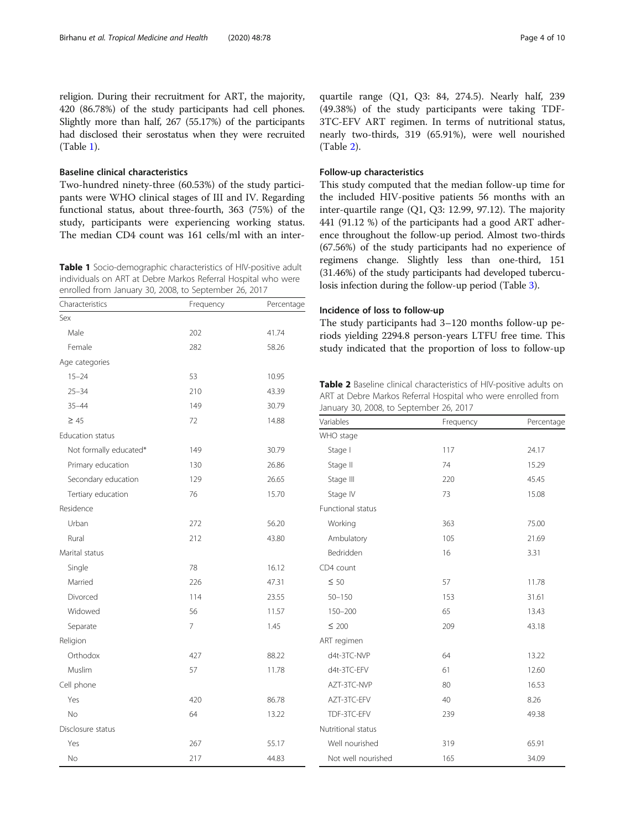religion. During their recruitment for ART, the majority, 420 (86.78%) of the study participants had cell phones. Slightly more than half, 267 (55.17%) of the participants had disclosed their serostatus when they were recruited (Table 1).

# Baseline clinical characteristics

Two-hundred ninety-three (60.53%) of the study participants were WHO clinical stages of III and IV. Regarding functional status, about three-fourth, 363 (75%) of the study, participants were experiencing working status. The median CD4 count was 161 cells/ml with an inter-

Table 1 Socio-demographic characteristics of HIV-positive adult individuals on ART at Debre Markos Referral Hospital who were enrolled from January 30, 2008, to September 26, 2017

| Characteristics        | Frequency | Percentage |
|------------------------|-----------|------------|
| Sex                    |           |            |
| Male                   | 202       | 41.74      |
| Female                 | 282       | 58.26      |
| Age categories         |           |            |
| $15 - 24$              | 53        | 10.95      |
| $25 - 34$              | 210       | 43.39      |
| $35 - 44$              | 149       | 30.79      |
| $\geq 45$              | 72        | 14.88      |
| Education status       |           |            |
| Not formally educated* | 149       | 30.79      |
| Primary education      | 130       | 26.86      |
| Secondary education    | 129       | 26.65      |
| Tertiary education     | 76        | 15.70      |
| Residence              |           |            |
| Urban                  | 272       | 56.20      |
| Rural                  | 212       | 43.80      |
| Marital status         |           |            |
| Single                 | 78        | 16.12      |
| Married                | 226       | 47.31      |
| Divorced               | 114       | 23.55      |
| Widowed                | 56        | 11.57      |
| Separate               | 7         | 1.45       |
| Religion               |           |            |
| Orthodox               | 427       | 88.22      |
| Muslim                 | 57        | 11.78      |
| Cell phone             |           |            |
| Yes                    | 420       | 86.78      |
| No.                    | 64        | 13.22      |
| Disclosure status      |           |            |
| Yes                    | 267       | 55.17      |
| No                     | 217       | 44.83      |

quartile range (Q1, Q3: 84, 274.5). Nearly half, 239 (49.38%) of the study participants were taking TDF-3TC-EFV ART regimen. In terms of nutritional status, nearly two-thirds, 319 (65.91%), were well nourished (Table 2).

# Follow-up characteristics

This study computed that the median follow-up time for the included HIV-positive patients 56 months with an inter-quartile range (Q1, Q3: 12.99, 97.12). The majority 441 (91.12 %) of the participants had a good ART adherence throughout the follow-up period. Almost two-thirds (67.56%) of the study participants had no experience of regimens change. Slightly less than one-third, 151 (31.46%) of the study participants had developed tuberculosis infection during the follow-up period (Table [3](#page-4-0)).

# Incidence of loss to follow-up

The study participants had 3–120 months follow-up periods yielding 2294.8 person-years LTFU free time. This study indicated that the proportion of loss to follow-up

Table 2 Baseline clinical characteristics of HIV-positive adults on ART at Debre Markos Referral Hospital who were enrolled from January 30, 2008, to September 26, 2017

| Variables          | Frequency | Percentage |
|--------------------|-----------|------------|
| WHO stage          |           |            |
| Stage I            | 117       | 24.17      |
| Stage II           | 74        | 15.29      |
| Stage III          | 220       | 45.45      |
| Stage IV           | 73        | 15.08      |
| Functional status  |           |            |
| Working            | 363       | 75.00      |
| Ambulatory         | 105       | 21.69      |
| Bedridden          | 16        | 3.31       |
| CD4 count          |           |            |
| $\leq 50$          | 57        | 11.78      |
| $50 - 150$         | 153       | 31.61      |
| 150-200            | 65        | 13.43      |
| $\leq 200$         | 209       | 43.18      |
| ART regimen        |           |            |
| d4t-3TC-NVP        | 64        | 13.22      |
| d4t-3TC-EFV        | 61        | 12.60      |
| AZT-3TC-NVP        | 80        | 16.53      |
| AZT-3TC-EFV        | 40        | 8.26       |
| TDF-3TC-EFV        | 239       | 49.38      |
| Nutritional status |           |            |
| Well nourished     | 319       | 65.91      |
| Not well nourished | 165       | 34.09      |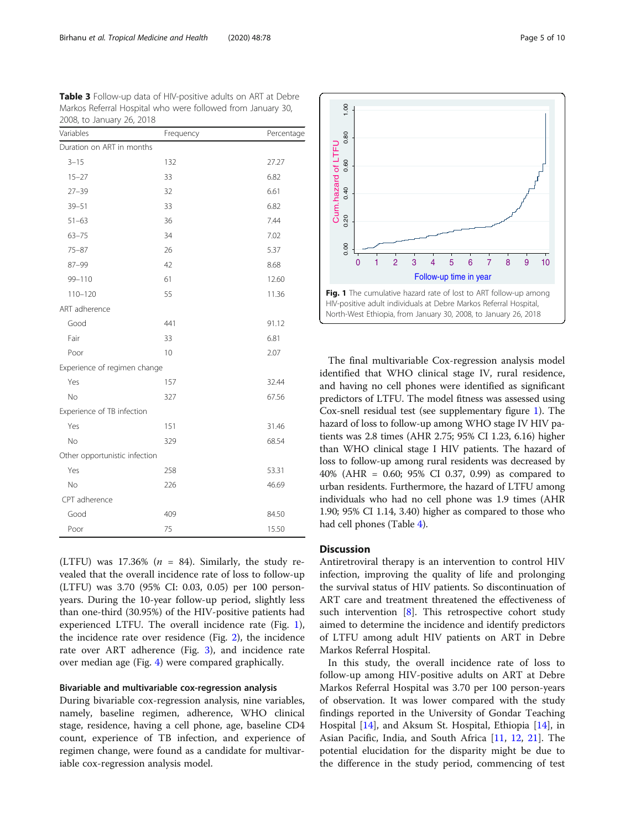<span id="page-4-0"></span>Table 3 Follow-up data of HIV-positive adults on ART at Debre Markos Referral Hospital who were followed from January 30, 2008, to January 26, 2018

| Variables                     | Frequency | Percentage |
|-------------------------------|-----------|------------|
| Duration on ART in months     |           |            |
| $3 - 15$                      | 132       | 27.27      |
| $15 - 27$                     | 33        | 6.82       |
| $27 - 39$                     | 32        | 6.61       |
| $39 - 51$                     | 33        | 6.82       |
| $51 - 63$                     | 36        | 7.44       |
| $63 - 75$                     | 34        | 7.02       |
| $75 - 87$                     | 26        | 5.37       |
| 87-99                         | 42        | 8.68       |
| 99-110                        | 61        | 12.60      |
| $110 - 120$                   | 55        | 11.36      |
| ART adherence                 |           |            |
| Good                          | 441       | 91.12      |
| Fair                          | 33        | 6.81       |
| Poor                          | 10        | 2.07       |
| Experience of regimen change  |           |            |
| Yes                           | 157       | 32.44      |
| <b>No</b>                     | 327       | 67.56      |
| Experience of TB infection    |           |            |
| Yes                           | 151       | 31.46      |
| No                            | 329       | 68.54      |
| Other opportunistic infection |           |            |
| Yes                           | 258       | 53.31      |
| <b>No</b>                     | 226       | 46.69      |
| CPT adherence                 |           |            |
| Good                          | 409       | 84.50      |
| Poor                          | 75        | 15.50      |

(LTFU) was 17.36% ( $n = 84$ ). Similarly, the study revealed that the overall incidence rate of loss to follow-up (LTFU) was 3.70 (95% CI: 0.03, 0.05) per 100 personyears. During the 10-year follow-up period, slightly less than one-third (30.95%) of the HIV-positive patients had experienced LTFU. The overall incidence rate (Fig. 1), the incidence rate over residence (Fig. [2\)](#page-5-0), the incidence rate over ART adherence (Fig. [3](#page-5-0)), and incidence rate over median age (Fig. [4](#page-6-0)) were compared graphically.

# Bivariable and multivariable cox-regression analysis

During bivariable cox-regression analysis, nine variables, namely, baseline regimen, adherence, WHO clinical stage, residence, having a cell phone, age, baseline CD4 count, experience of TB infection, and experience of regimen change, were found as a candidate for multivariable cox-regression analysis model.



The final multivariable Cox-regression analysis model identified that WHO clinical stage IV, rural residence, and having no cell phones were identified as significant predictors of LTFU. The model fitness was assessed using Cox-snell residual test (see supplementary figure [1](#page-8-0)). The hazard of loss to follow-up among WHO stage IV HIV patients was 2.8 times (AHR 2.75; 95% CI 1.23, 6.16) higher than WHO clinical stage I HIV patients. The hazard of loss to follow-up among rural residents was decreased by 40% (AHR = 0.60; 95% CI 0.37, 0.99) as compared to urban residents. Furthermore, the hazard of LTFU among individuals who had no cell phone was 1.9 times (AHR 1.90; 95% CI 1.14, 3.40) higher as compared to those who had cell phones (Table [4\)](#page-7-0).

# **Discussion**

Antiretroviral therapy is an intervention to control HIV infection, improving the quality of life and prolonging the survival status of HIV patients. So discontinuation of ART care and treatment threatened the effectiveness of such intervention [\[8](#page-8-0)]. This retrospective cohort study aimed to determine the incidence and identify predictors of LTFU among adult HIV patients on ART in Debre Markos Referral Hospital.

In this study, the overall incidence rate of loss to follow-up among HIV-positive adults on ART at Debre Markos Referral Hospital was 3.70 per 100 person-years of observation. It was lower compared with the study findings reported in the University of Gondar Teaching Hospital [[14\]](#page-8-0), and Aksum St. Hospital, Ethiopia [[14\]](#page-8-0), in Asian Pacific, India, and South Africa [\[11,](#page-8-0) [12,](#page-8-0) [21\]](#page-8-0). The potential elucidation for the disparity might be due to the difference in the study period, commencing of test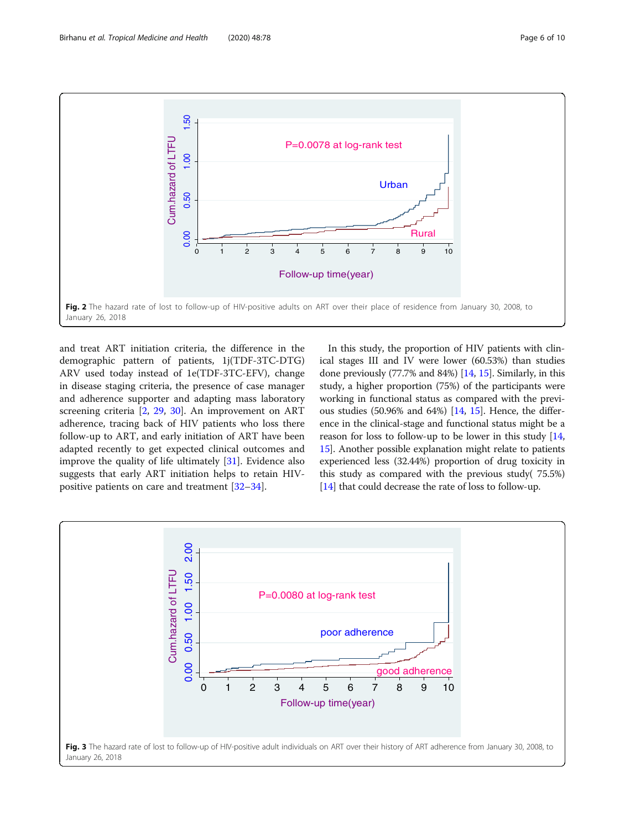<span id="page-5-0"></span>

and treat ART initiation criteria, the difference in the demographic pattern of patients, 1j(TDF-3TC-DTG) ARV used today instead of 1e(TDF-3TC-EFV), change in disease staging criteria, the presence of case manager and adherence supporter and adapting mass laboratory screening criteria [\[2](#page-8-0), [29](#page-9-0), [30](#page-9-0)]. An improvement on ART adherence, tracing back of HIV patients who loss there follow-up to ART, and early initiation of ART have been adapted recently to get expected clinical outcomes and improve the quality of life ultimately [\[31\]](#page-9-0). Evidence also suggests that early ART initiation helps to retain HIVpositive patients on care and treatment [\[32](#page-9-0)–[34\]](#page-9-0).

In this study, the proportion of HIV patients with clinical stages III and IV were lower (60.53%) than studies done previously (77.7% and 84%) [\[14,](#page-8-0) [15](#page-8-0)]. Similarly, in this study, a higher proportion (75%) of the participants were working in functional status as compared with the previous studies (50.96% and 64%) [[14](#page-8-0), [15\]](#page-8-0). Hence, the difference in the clinical-stage and functional status might be a reason for loss to follow-up to be lower in this study [[14](#page-8-0), [15](#page-8-0)]. Another possible explanation might relate to patients experienced less (32.44%) proportion of drug toxicity in this study as compared with the previous study( 75.5%) [[14](#page-8-0)] that could decrease the rate of loss to follow-up.

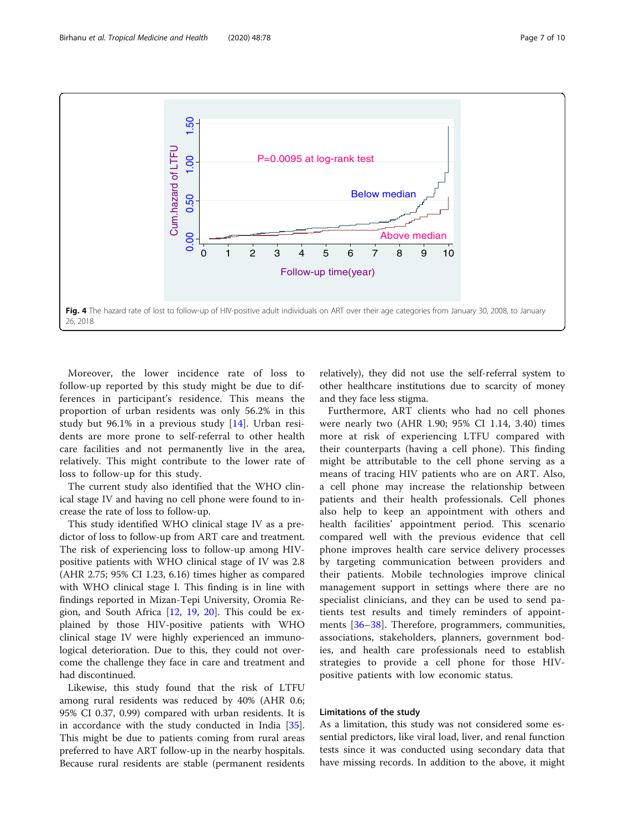<span id="page-6-0"></span>

Moreover, the lower incidence rate of loss to follow-up reported by this study might be due to differences in participant's residence. This means the proportion of urban residents was only 56.2% in this study but 96.1% in a previous study [[14\]](#page-8-0). Urban residents are more prone to self-referral to other health care facilities and not permanently live in the area, relatively. This might contribute to the lower rate of loss to follow-up for this study.

The current study also identified that the WHO clinical stage IV and having no cell phone were found to increase the rate of loss to follow-up.

This study identified WHO clinical stage IV as a predictor of loss to follow-up from ART care and treatment. The risk of experiencing loss to follow-up among HIVpositive patients with WHO clinical stage of IV was 2.8 (AHR 2.75; 95% CI 1.23, 6.16) times higher as compared with WHO clinical stage I. This finding is in line with findings reported in Mizan-Tepi University, Oromia Region, and South Africa [[12](#page-8-0), [19,](#page-8-0) [20](#page-8-0)]. This could be explained by those HIV-positive patients with WHO clinical stage IV were highly experienced an immunological deterioration. Due to this, they could not overcome the challenge they face in care and treatment and had discontinued.

Likewise, this study found that the risk of LTFU among rural residents was reduced by 40% (AHR 0.6; 95% CI 0.37, 0.99) compared with urban residents. It is in accordance with the study conducted in India [\[35](#page-9-0)]. This might be due to patients coming from rural areas preferred to have ART follow-up in the nearby hospitals. Because rural residents are stable (permanent residents relatively), they did not use the self-referral system to other healthcare institutions due to scarcity of money and they face less stigma.

Furthermore, ART clients who had no cell phones were nearly two (AHR 1.90; 95% CI 1.14, 3.40) times more at risk of experiencing LTFU compared with their counterparts (having a cell phone). This finding might be attributable to the cell phone serving as a means of tracing HIV patients who are on ART. Also, a cell phone may increase the relationship between patients and their health professionals. Cell phones also help to keep an appointment with others and health facilities' appointment period. This scenario compared well with the previous evidence that cell phone improves health care service delivery processes by targeting communication between providers and their patients. Mobile technologies improve clinical management support in settings where there are no specialist clinicians, and they can be used to send patients test results and timely reminders of appointments [\[36](#page-9-0)–[38](#page-9-0)]. Therefore, programmers, communities, associations, stakeholders, planners, government bodies, and health care professionals need to establish strategies to provide a cell phone for those HIVpositive patients with low economic status.

# Limitations of the study

As a limitation, this study was not considered some essential predictors, like viral load, liver, and renal function tests since it was conducted using secondary data that have missing records. In addition to the above, it might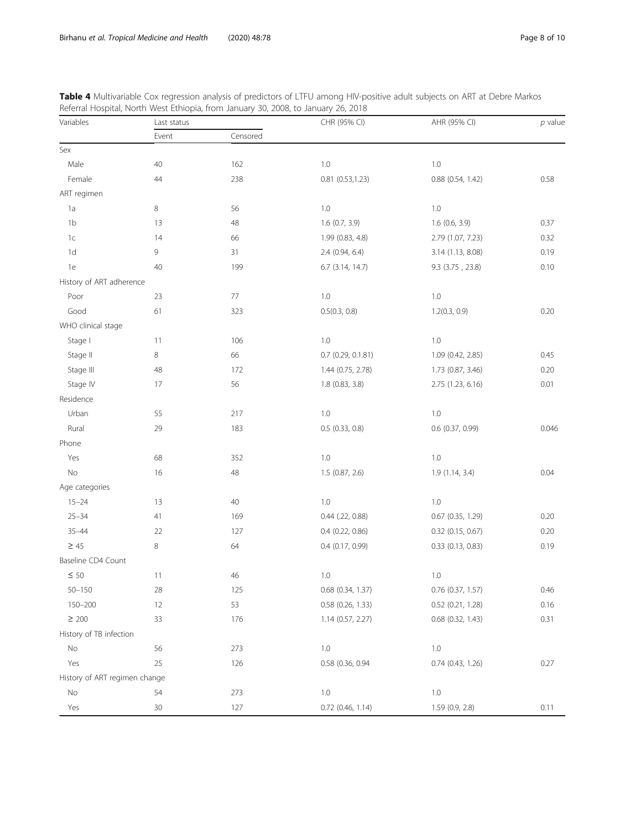<span id="page-7-0"></span>

| Table 4 Multivariable Cox regression analysis of predictors of LTFU among HIV-positive adult subjects on ART at Debre Markos |  |  |  |  |  |
|------------------------------------------------------------------------------------------------------------------------------|--|--|--|--|--|
| Referral Hospital, North West Ethiopia, from January 30, 2008, to January 26, 2018                                           |  |  |  |  |  |

| Variables                     | Last status |          | CHR (95% CI)                          | AHR (95% CI)          | $p$ value |  |
|-------------------------------|-------------|----------|---------------------------------------|-----------------------|-----------|--|
|                               | Event       | Censored |                                       |                       |           |  |
| Sex                           |             |          |                                       |                       |           |  |
| Male                          | 40          | 162      | $1.0\,$<br>1.0                        |                       |           |  |
| Female                        | 44          | 238      | 0.81(0.53, 1.23)<br>0.88 (0.54, 1.42) |                       | 0.58      |  |
| ART regimen                   |             |          |                                       |                       |           |  |
| 1a                            | 8           | 56       | 1.0                                   | 1.0                   |           |  |
| 1 <sub>b</sub>                | 13          | 48       | $1.6$ (0.7, 3.9)                      | $1.6$ (0.6, 3.9)      | 0.37      |  |
| $1c$                          | 14          | 66       | 1.99 (0.83, 4.8)                      | 2.79 (1.07, 7.23)     | 0.32      |  |
| 1d                            | 9           | 31       | 2.4 (0.94, 6.4)                       | 3.14 (1.13, 8.08)     | 0.19      |  |
| 1e                            | 40          | 199      | 6.7 (3.14, 14.7)                      | 9.3 (3.75, 23.8)      | 0.10      |  |
| History of ART adherence      |             |          |                                       |                       |           |  |
| Poor                          | 23          | 77       | 1.0                                   | 1.0                   |           |  |
| Good                          | 61          | 323      | 0.5(0.3, 0.8)                         | 1.2(0.3, 0.9)         | 0.20      |  |
| WHO clinical stage            |             |          |                                       |                       |           |  |
| Stage I                       | 11          | 106      | 1.0                                   | 1.0                   |           |  |
| Stage II                      | 8           | 66       | $0.7$ (0.29, 0.1.81)                  | 1.09 (0.42, 2.85)     | 0.45      |  |
| Stage III                     | 48          | 172      | 1.44 (0.75, 2.78)                     | 1.73 (0.87, 3.46)     | 0.20      |  |
| Stage IV                      | 17          | 56       | 1.8(0.83, 3.8)                        | 2.75 (1.23, 6.16)     | 0.01      |  |
| Residence                     |             |          |                                       |                       |           |  |
| Urban                         | 55          | 217      | $1.0\,$                               | $1.0\,$               |           |  |
| Rural                         | 29          | 183      | $0.5$ (0.33, 0.8)                     | 0.6 (0.37, 0.99)      | 0.046     |  |
| Phone                         |             |          |                                       |                       |           |  |
| Yes                           | 68          | 352      | $1.0\,$                               | $1.0\,$               |           |  |
| $\rm No$                      | 16          | 48       | 1.5 (0.87, 2.6)                       | 1.9 (1.14, 3.4)       | 0.04      |  |
| Age categories                |             |          |                                       |                       |           |  |
| $15 - 24$                     | 13          | 40       | $1.0\,$                               | 1.0                   |           |  |
| $25 - 34$                     | 41          | 169      | $0.44$ $(.22, 0.88)$                  | 0.67 (0.35, 1.29)     | 0.20      |  |
| $35 - 44$                     | 22          | 127      | 0.4 (0.22, 0.86)                      | 0.32 (0.15, 0.67)     | 0.20      |  |
| $\geq 45$                     | 8           | 64       | 0.4 (0.17, 0.99)                      | $0.33$ $(0.13, 0.83)$ | 0.19      |  |
| Baseline CD4 Count            |             |          |                                       |                       |           |  |
| $\leq 50$                     | 11          | 46       | $1.0\,$                               | $1.0\,$               |           |  |
| $50 - 150$                    | 28          | 125      | 0.68 (0.34, 1.37)                     | 0.76 (0.37, 1.57)     | 0.46      |  |
| 150-200                       | 12          | 53       | 0.58 (0.26, 1.33)                     | 0.52 (0.21, 1.28)     | 0.16      |  |
| $\geq$ 200                    | 33          | 176      | 1.14 (0.57, 2.27)                     | 0.68 (0.32, 1.43)     | 0.31      |  |
| History of TB infection       |             |          |                                       |                       |           |  |
| No                            | 56          | 273      | 1.0<br>1.0                            |                       |           |  |
| Yes                           | 25          | 126      | 0.58 (0.36, 0.94                      | $0.74$ $(0.43, 1.26)$ |           |  |
| History of ART regimen change |             |          |                                       |                       |           |  |
| No                            | 54          | 273      | 1.0                                   | 1.0                   |           |  |
| Yes                           | $30\,$      | 127      | $0.72$ (0.46, 1.14)                   | 1.59 (0.9, 2.8)       | 0.11      |  |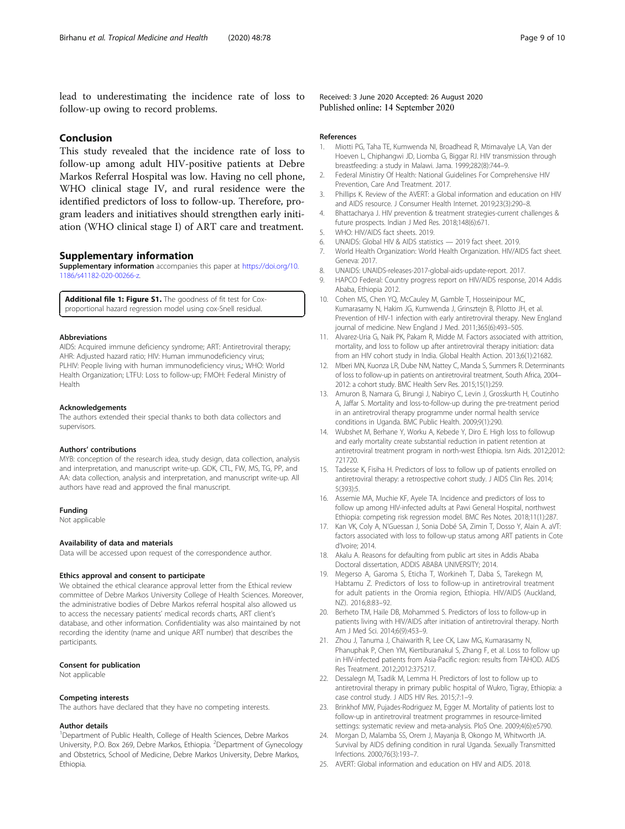<span id="page-8-0"></span>lead to underestimating the incidence rate of loss to follow-up owing to record problems.

# Conclusion

This study revealed that the incidence rate of loss to follow-up among adult HIV-positive patients at Debre Markos Referral Hospital was low. Having no cell phone, WHO clinical stage IV, and rural residence were the identified predictors of loss to follow-up. Therefore, program leaders and initiatives should strengthen early initiation (WHO clinical stage I) of ART care and treatment.

# Supplementary information

Supplementary information accompanies this paper at [https://doi.org/10.](https://doi.org/10.1186/s41182-020-00266-z) [1186/s41182-020-00266-z.](https://doi.org/10.1186/s41182-020-00266-z)

Additional file 1: Figure S1. The goodness of fit test for Coxproportional hazard regression model using cox-Snell residual.

# Abbreviations

AIDS: Acquired immune deficiency syndrome; ART: Antiretroviral therapy; AHR: Adjusted hazard ratio; HIV: Human immunodeficiency virus; PLHIV: People living with human immunodeficiency virus,; WHO: World Health Organization; LTFU: Loss to follow-up; FMOH: Federal Ministry of Health

#### Acknowledgements

The authors extended their special thanks to both data collectors and supervisors.

# Authors' contributions

MYB: conception of the research idea, study design, data collection, analysis and interpretation, and manuscript write-up. GDK, CTL, FW, MS, TG, PP, and AA: data collection, analysis and interpretation, and manuscript write-up. All authors have read and approved the final manuscript.

#### Funding

Not applicable

# Availability of data and materials

Data will be accessed upon request of the correspondence author.

# Ethics approval and consent to participate

We obtained the ethical clearance approval letter from the Ethical review committee of Debre Markos University College of Health Sciences. Moreover, the administrative bodies of Debre Markos referral hospital also allowed us to access the necessary patients' medical records charts, ART client's database, and other information. Confidentiality was also maintained by not recording the identity (name and unique ART number) that describes the participants.

### Consent for publication

Not applicable

#### Competing interests

The authors have declared that they have no competing interests.

# Author details

<sup>1</sup>Department of Public Health, College of Health Sciences, Debre Markos University, P.O. Box 269, Debre Markos, Ethiopia. <sup>2</sup>Department of Gynecology and Obstetrics, School of Medicine, Debre Markos University, Debre Markos, Ethiopia.

Received: 3 June 2020 Accepted: 26 August 2020 Published online: 14 September 2020

#### References

- 1. Miotti PG, Taha TE, Kumwenda NI, Broadhead R, Mtimavalye LA, Van der Hoeven L, Chiphangwi JD, Liomba G, Biggar RJ. HIV transmission through breastfeeding: a study in Malawi. Jama. 1999;282(8):744–9.
- 2. Federal Ministiry Of Health: National Guidelines For Comprehensive HIV Prevention, Care And Treatment. 2017.
- 3. Phillips K. Review of the AVERT: a Global information and education on HIV and AIDS resource. J Consumer Health Internet. 2019;23(3):290–8.
- 4. Bhattacharya J. HIV prevention & treatment strategies-current challenges & future prospects. Indian J Med Res. 2018;148(6):671.
- 5. WHO: HIV/AIDS fact sheets. 2019.
- 6. UNAIDS: Global HIV & AIDS statistics 2019 fact sheet. 2019.
- 7. World Health Organization: World Health Organization. HIV/AIDS fact sheet. Geneva: 2017.
- 8. UNAIDS: UNAIDS-releases-2017-global-aids-update-report. 2017.
- 9. HAPCO Federal: Country progress report on HIV/AIDS response, 2014 Addis Ababa, Ethiopia 2012.
- 10. Cohen MS, Chen YQ, McCauley M, Gamble T, Hosseinipour MC, Kumarasamy N, Hakim JG, Kumwenda J, Grinsztejn B, Pilotto JH, et al. Prevention of HIV-1 infection with early antiretroviral therapy. New England journal of medicine. New England J Med. 2011;365(6):493–505.
- 11. Alvarez-Uria G, Naik PK, Pakam R, Midde M. Factors associated with attrition, mortality, and loss to follow up after antiretroviral therapy initiation: data from an HIV cohort study in India. Global Health Action. 2013;6(1):21682.
- 12. Mberi MN, Kuonza LR, Dube NM, Nattey C, Manda S, Summers R. Determinants of loss to follow-up in patients on antiretroviral treatment, South Africa, 2004– 2012: a cohort study. BMC Health Serv Res. 2015;15(1):259.
- 13. Amuron B, Namara G, Birungi J, Nabiryo C, Levin J, Grosskurth H, Coutinho A, Jaffar S. Mortality and loss-to-follow-up during the pre-treatment period in an antiretroviral therapy programme under normal health service conditions in Uganda. BMC Public Health. 2009;9(1):290.
- 14. Wubshet M, Berhane Y, Worku A, Kebede Y, Diro E. High loss to followup and early mortality create substantial reduction in patient retention at antiretroviral treatment program in north-west Ethiopia. Isrn Aids. 2012;2012: 721720.
- 15. Tadesse K, Fisiha H. Predictors of loss to follow up of patients enrolled on antiretroviral therapy: a retrospective cohort study. J AIDS Clin Res. 2014; 5(393):5.
- 16. Assemie MA, Muchie KF, Ayele TA. Incidence and predictors of loss to follow up among HIV-infected adults at Pawi General Hospital, northwest Ethiopia: competing risk regression model. BMC Res Notes. 2018;11(1):287.
- 17. Kan VK, Coly A, N'Guessan J, Sonia Dobé SA, Zimin T, Dosso Y, Alain A. aVT: factors associated with loss to follow-up status among ART patients in Cote d'Ivoire; 2014.
- 18. Akalu A. Reasons for defaulting from public art sites in Addis Ababa Doctoral dissertation, ADDIS ABABA UNIVERSITY; 2014.
- 19. Megerso A, Garoma S, Eticha T, Workineh T, Daba S, Tarekegn M, Habtamu Z. Predictors of loss to follow-up in antiretroviral treatment for adult patients in the Oromia region, Ethiopia. HIV/AIDS (Auckland, NZ). 2016;8:83–92.
- 20. Berheto TM, Haile DB, Mohammed S. Predictors of loss to follow-up in patients living with HIV/AIDS after initiation of antiretroviral therapy. North Am J Med Sci. 2014;6(9):453–9.
- 21. Zhou J, Tanuma J, Chaiwarith R, Lee CK, Law MG, Kumarasamy N, Phanuphak P, Chen YM, Kiertiburanakul S, Zhang F, et al. Loss to follow up in HIV-infected patients from Asia-Pacific region: results from TAHOD. AIDS Res Treatment. 2012;2012:375217.
- 22. Dessalegn M, Tsadik M, Lemma H. Predictors of lost to follow up to antiretroviral therapy in primary public hospital of Wukro, Tigray, Ethiopia: a case control study. J AIDS HIV Res. 2015;7:1–9.
- 23. Brinkhof MW, Pujades-Rodriguez M, Egger M. Mortality of patients lost to follow-up in antiretroviral treatment programmes in resource-limited settings: systematic review and meta-analysis. PloS One. 2009;4(6):e5790.
- 24. Morgan D, Malamba SS, Orem J, Mayanja B, Okongo M, Whitworth JA. Survival by AIDS defining condition in rural Uganda. Sexually Transmitted Infections. 2000;76(3):193–7.
- 25. AVERT: Global information and education on HIV and AIDS. 2018.